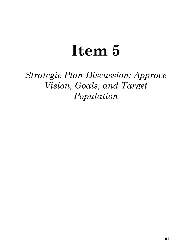# **Item 5**

*Strategic Plan Discussion: Approve Vision, Goals, and Target Population*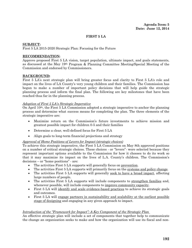## **FIRST 5 LA**

#### **SUBJECT:**

First 5 LA 2015-2020 Strategic Plan: Focusing for the Future

## **RECOMMENDATION:**

Approve proposed First 5 LA vision, target population, ultimate impact, and goals statements, as discussed at the May 19th Program & Planning Committee Meeting/Special Meeting of the Commission and endorsed by Commissioners.

# **BACKGROUND:**

First 5 LA's next strategic plan will bring greater focus and clarity to First 5 LA's role and impact on the lives of LA County's very young children and their families. The Commission has begun to make a number of important policy decisions that will help guide the strategic planning process and inform the final plan. The following are key milestones that have been reached thus far in the planning process.

#### *Adoption of First 5 LA's Strategic Imperative*

On April  $10^{th}$ , the First 5 LA Commission adopted a strategic imperative to anchor the planning process and determine what success means for completing the plan. The three elements of the strategic imperative are:

- Maximize return on the Commission's future investments to achieve mission and greatest possible impact for children 0-5 and their families
- Determine a clear, well-defined focus for First 5 LA
- Align goals to long-term financial projections and strategy

#### *Approval of Home Positions of Levers for Impact (strategic choices)*

To achieve this strategic imperative, the First 5 LA Commission on May 8th approved positions on a number of critical strategic choices. These choices - or "levers"- were selected because they represent important options available to the Commission for how it chooses to do its work so that it may maximize its impact on the lives of L.A. County's children. The Commission's decisions – or "home positions" - are:

- The activities First 5 LA supports will generally focus on prevention.
- The activities First 5 LA supports will primarily focus on the systems and policy change.
- The activities First 5 LA supports will generally seek to have a broad impact, affecting large numbers of people.
- The activities First 5 LA supports will include components to strengthen families and, whenever possible, will include components to improve community capacity.
- First 5 LA will identify and scale evidence-based practices to achieve its strategic goals and outcomes.
- First 5 LA will engage partners in sustainability and scalability at the earliest possible stage of designing and engaging in any given approach to impact.

# *Introduction of the "Framework for Impact": A Key Component of the Strategic Plan*

An effective strategic plan will include a set of components that together help to communicate the change an organization seeks to make and how the organization will use its fiscal and non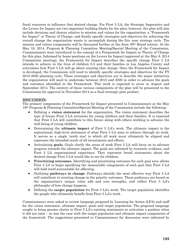fiscal resources to influence that desired change. For First 5 LA, the Strategic Imperative and the Levers for Impact are two important building blocks for the plan; however, the plan will also include decisions and choices relative to mission and values for the organization, a "Framework for Impact" or Theory of Change, and finally specific strategies and objectives for achieving the overall change the organization wants to accomplish during the five year strategy cycle. The mission and values components will be discussed further at the June 30th Board retreat. At the May 19, 2014, Program & Planning Committee Meeting/Special Meeting of the Commission, Commissioners were introduced to the concept of a Framework for Impact or Theory of Change for this plan. Informed by home positions on the Levers for Impact (approved at the May 8, 2014 Commission meeting), the Framework for Impact describes the specific change First 5 LA intends to achieve in the lives of children 0-5 and their families in Los Angeles County and articulates how First 5 LA will go about creating that change. Once the Framework for Impact is developed, the Commission will need to identify specific strategies and objectives for the FY 2015-2020 planning cycle. These strategies and objectives are to describe the major initiatives the organization will need to undertake between 2015 and 2020 in order to advance the goals and outcomes identified in the Framework. This work is expected to occur in August and September 2014. The entirety of these various components of the plan will be presented to the Commission for approval in November 2014 as a final strategic plan product.

# **DISCUSSION:**

The primary components of the Framework for Impact presented to Commissioners at the May 19th Program & Planning Committee/Special Meeting of the Commission include the following:

- Defining a **vision statement** for the organization. The vision statement describes the type of future First 5 LA envisions for young children and their families. It is expected that First 5 LA will contribute to this future along with others working to advance the well-being of young children.
- Determining the **ultimate impact** of First 5 LA's work. The ultimate impact is the aspirational, high-level statement of what First 5 LA aims to achieve through its work. It serves as a single 'north star' to which all work must ultimately be aligned and expresses the intended result of all investments and efforts.
- Articulating **goals**. Goals clarify the areas of work First 5 LA will focus on to advance progress towards the ultimate impact. The goals are informed by research, evidence, and First 5 LA organizational experience. They represent broad statements about the desired change First 5 LA would like to see for children.
- **Prioritizing outcomes.** Identifying and prioritizing outcomes for each goal area allows First 5 LA to begin specifying the measurable components of each goal that First 5 LA will hold itself accountable for affecting.
- Outlining **pathways to change.** Pathways identify the most effective way First 5 LA will contribute to creating change in the priority outcomes. These pathways are based on the organization's unique value add and core strengths, and reflect First 5 LA's philosophy of how change happens.
- Defining the **target population** for First 5 LA's work. The target population identifies the people who ultimately benefit from First 5 LA's work.

Commissioners were asked to review language proposed by Learning for Action (LFA) and staff for the vision statement, ultimate impact, goals and target population. The proposed language sought to bring greater clarity to First 5 LA's existing statements or articulate a position when it did not exist – as was the case with the target population and ultimate impact components of the framework. The suggestions presented to Commissioners for discussion were informed by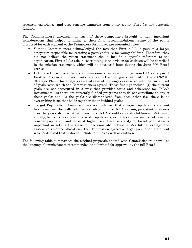research, experience, and best practice examples from other county First 5's and strategic funders.

The Commissioners' discussion on each of these components brought to light important considerations that helped to influence their final recommendations. Some of the points discussed for each element of the Framework for Impact are presented below:

- **Vision:** Commissioners acknowledged the fact that First 5 LA is part of a larger ecosystem responsible for creating a positive future for young children. Therefore, they did not believe the vision statement should include a specific reference to the organization. First 5 LA's role in contributing to this vision for children will be described in the mission statement, which will be discussed later during the June  $30<sup>th</sup>$  Board retreat.
- **Ultimate Impact and Goals:** Commissioners reviewed findings from LFA's analysis of First 5 LA's current investments relative to the four goals outlined in the 2009-2015 Strategic Plan. This analysis revealed several challenges associated with the current set of goals, with which the Commissioners agreed. These findings include: (1) the current goals are not structured in a way that provides focus and coherence for F5LA's investments; (2) there are currently funded programs that do not contribute to any of these goals; and (3) the goals are disconnected from each other (i.e. there is no overarching focus that holds together the individual goals).
- **Target Population:** Commissioners acknowledged that a target population statement has never been formally adopted as policy for First 5 LA causing persistent questions over the years about whether or not First 5 LA should serve all children in LA County equally, focus its resources on at-risk populations, or balance investments between the broader population and those at higher risk. Because clarity on target population is important in setting the stage for decisions about First 5 LA's future strategy and associated resource allocations, the Commission agreed a target population statement was needed and that it should include families as well as children.

The following table summarizes the original proposals shared with Commissioners as well as the language Commissioners recommended be submitted for approval by the full Board.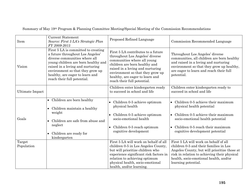|  |  |  | Summary of May 19th Program & Planning Committee Meeting/Special Meeting of the Commission Recommendations |  |  |  |
|--|--|--|------------------------------------------------------------------------------------------------------------|--|--|--|
|--|--|--|------------------------------------------------------------------------------------------------------------|--|--|--|

| Item                   | <b>Current Statement</b><br>Source: First 5 LA's Strategic Plan<br>FY 2009-2015                                                                                                                                                                                                           | Proposed Refined Language                                                                                                                                                                                                                                                       | Commission Recommended Language                                                                                                                                                                                                                  |
|------------------------|-------------------------------------------------------------------------------------------------------------------------------------------------------------------------------------------------------------------------------------------------------------------------------------------|---------------------------------------------------------------------------------------------------------------------------------------------------------------------------------------------------------------------------------------------------------------------------------|--------------------------------------------------------------------------------------------------------------------------------------------------------------------------------------------------------------------------------------------------|
| Vision                 | First 5 LA is committed to creating<br>a future throughout Los Angeles'<br>diverse communities where all<br>young children are born healthy and<br>raised in a loving and nurturing<br>environment so that they grow up<br>healthy, are eager to learn and<br>reach their full potential. | First 5 LA contributes to a future<br>throughout Los Angeles' diverse<br>communities where all young<br>children are born healthy and<br>raised in a loving and nurturing<br>environment so that they grow up<br>healthy, are eager to learn and<br>reach their full potential. | Throughout Los Angeles' diverse<br>communities, all children are born healthy<br>and raised in a loving and nurturing<br>environment so that they grow up healthy,<br>are eager to learn and reach their full<br>potential.                      |
| <b>Ultimate Impact</b> |                                                                                                                                                                                                                                                                                           | Children enter kindergarten ready<br>to succeed in school and life                                                                                                                                                                                                              | Children enter kindergarten ready to<br>succeed in school and life                                                                                                                                                                               |
| Goals                  | • Children are born healthy<br>• Children maintain a healthy<br>weight<br>Children are safe from abuse and<br>neglect<br>Children are ready for<br>$\bullet$<br>kindergarten                                                                                                              | Children 0-5 achieve optimum<br>$\bullet$<br>physical health<br>Children 0-5 achieve optimum<br>socio-emotional health<br>Children 0-5 reach optimum<br>$\bullet$<br>cognitive development                                                                                      | Children 0-5 achieve their maximum<br>physical health potential<br>Children 0-5 achieve their maximum<br>socio-emotional health potential<br>Children 0-5 reach their maximum<br>cognitive development potential                                 |
| Target<br>Population   |                                                                                                                                                                                                                                                                                           | First 5 LA will work on behalf of all<br>children 0-5 in Los Angeles County,<br>but will prioritize children who<br>experience significant risk factors in<br>relation to achieving optimum<br>physical health, socio-emotional<br>health, and/or learning.                     | First 5 LA will work on behalf of all<br>children 0-5 and their families in Los<br>Angeles County, but will prioritize those at<br>risk in relation to achieving their physical<br>health, socio-emotional health, and/or<br>learning potential. |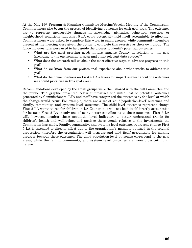At the May 19th Program & Planning Committee Meeting/Special Meeting of the Commission, Commissioners also began the process of identifying outcomes for each goal area. The outcomes are to represent measurable changes in knowledge, attitudes, behaviors, practices or neighborhood conditions that First 5 LA could potentially hold itself accountable to affecting. Commissioners were asked to complete this work in small groups, while community members present at the meeting were given the option to complete this exercise as their own group. The following questions were used to help guide the process to identify potential outcomes:

- What are the most pressing needs in Los Angeles County in relation to this goal (according to the environmental scan and other relevant data sources)?
- What does the research tell us about the most effective ways to advance progress on this goal?
- What do we know from our professional experience about what works to address this goal?
- What do the home positions on First 5 LA's levers for impact suggest about the outcomes we should prioritize in this goal area?

Recommendations developed by the small groups were then shared with the full Committee and the public. The graphic presented below summarizes the initial list of potential outcomes generated by Commissioners. LFA and staff have categorized the outcomes by the level at which the change would occur. For example, there are a set of 'child/population-level' outcomes and 'family, community, and systems-level' outcomes. The child-level outcomes represent change First 5 LA wants to see for children in LA County, but will not hold itself directly accountable for because First 5 LA is only one of many actors contributing to these outcomes. First 5 LA will, however, monitor these population-level indicators to better understand trends for children's health and well-being, and analyze these trends relative to the investments the Commission has made. Family, community, and systems level outcomes represent change First 5 LA is intended to directly affect due to the organization's mandate outlined in the original proposition; therefore the organization will measure and hold itself accountable for making progress towards these outcomes. The child population-level outcomes correspond to the goal areas, while the family, community, and systems-level outcomes are more cross-cutting in nature.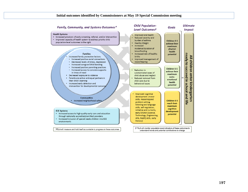#### **Initial outcomes identified by Commissioners at May 19 Special Commission meeting**



understand trends and potential contributions to change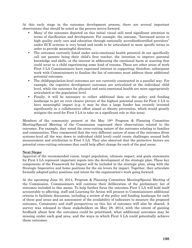At this early stage in the outcomes development process, there are several important observations that should be noted as the process moves forward.

- Many of the outcomes depicted on this initial visual still need significant attention in terms of clarification and development. For example, the outcome, "Increased access to high quality early care and education through nationally accredited/certified providers" under ECE systems is very broad and needs to be articulated in more specific terms in order to provide meaningful direction.
- The outcomes currently listed under socio-emotional health potential do not specifically call out parents being their child's first teacher, the intention to improve parental knowledge and skills, or the interest in addressing the emotional harm or scarring that could occur to a child experiencing some kind of trauma. These are other areas of work First 5 LA Commissioners have expressed interest in supporting; therefore, subsequent work with Commissioners to finalize the list of outcomes must address these additional potential outcomes.
- The child/population-level outcomes are not currently constructed in a parallel way. For example, the cognitive development outcomes are articulated at the individual child level, while the outcomes for physical and socio-emotional health are more appropriately articulated at the population level.
- Finally, it will be necessary to collect additional data on the policy and funding landscape to get an even clearer picture of the highest potential areas for First 5 LA to have meaningful impact (e.g. it may be that a large funder has recently invested significantly in a collaborative effort aimed at obesity prevention, which would greatly mitigate the need for First 5 LA to take on a significant role in this area).

Members of the community present at the May 19th Program & Planning Committee Meeting/Special Meeting of the Commission expressed their observations related to the outcomes. For example, they noted the cross-cutting nature of the outcomes relating to families and communities. They commented that the very different nature of some of the outcomes (from systems-level all the way down to individual child level) could create challenges around both measurement and attribution to First 5 LA. They also observed that the protective factors are potential cross-cutting outcomes that could help affect change for each of the goal areas.

# **Next Steps:**

Approval of the recommended vision, target population, ultimate impact, and goals statements for First 5 LA represent important inputs into the development of the strategic plan. These key components of the Framework for Impact will be included in the strategic plan, along with the Strategic Imperative and home positions for the six levers for impact. Together, they articulate formally adopted policy positions and intent for the organization's work going forward.

At the upcoming June 23, 2014, Program & Planning Committee Meeting/Special Meeting of the Commission, Commissioners will continue their deliberation of the preliminary list of outcomes included in this memo. To help further focus the outcomes First 5 LA will hold itself accountable to affecting, staff and Learning for Action will present to Commissioners additional criteria to facilitate discussion, including a review of the policy and funding landscape for each of these goal areas and an assessment of the availability of indicators to measure the proposed outcomes. Community and staff perspectives on this list of outcomes will also be shared. A survey was released to these stakeholders on May 28, 2014, with the intent of gaining feedback about how the outcomes could be prioritized, what additional outcomes may be missing under each goal area, and the ways in which First 5 LA could potentially achieve these outcomes.